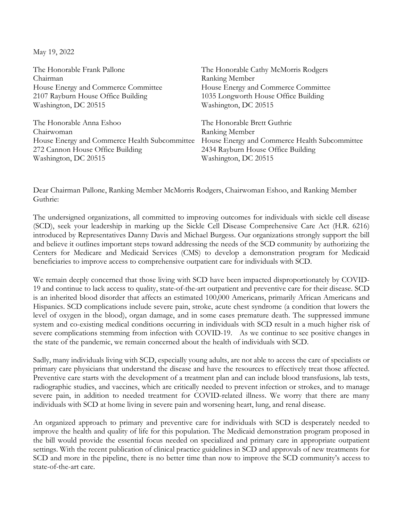May 19, 2022

| The Honorable Frank Pallone                   | The Honorable Cathy McMorris Rodgers          |
|-----------------------------------------------|-----------------------------------------------|
| Chairman                                      | Ranking Member                                |
| House Energy and Commerce Committee           | House Energy and Commerce Committee           |
| 2107 Rayburn House Office Building            | 1035 Longworth House Office Building          |
| Washington, DC 20515                          | Washington, DC 20515                          |
| The Honorable Anna Eshoo                      | The Honorable Brett Guthrie                   |
| Chairwoman                                    | Ranking Member                                |
| House Energy and Commerce Health Subcommittee | House Energy and Commerce Health Subcommittee |
| 272 Cannon House Office Building              | 2434 Rayburn House Office Building            |
| Washington, DC 20515                          | Washington, DC 20515                          |
|                                               |                                               |

Dear Chairman Pallone, Ranking Member McMorris Rodgers, Chairwoman Eshoo, and Ranking Member Guthrie:

The undersigned organizations, all committed to improving outcomes for individuals with sickle cell disease (SCD), seek your leadership in marking up the Sickle Cell Disease Comprehensive Care Act (H.R. 6216) introduced by Representatives Danny Davis and Michael Burgess. Our organizations strongly support the bill and believe it outlines important steps toward addressing the needs of the SCD community by authorizing the Centers for Medicare and Medicaid Services (CMS) to develop a demonstration program for Medicaid beneficiaries to improve access to comprehensive outpatient care for individuals with SCD.

We remain deeply concerned that those living with SCD have been impacted disproportionately by COVID-19 and continue to lack access to quality, state-of-the-art outpatient and preventive care for their disease. SCD is an inherited blood disorder that affects an estimated 100,000 Americans, primarily African Americans and Hispanics. SCD complications include severe pain, stroke, acute chest syndrome (a condition that lowers the level of oxygen in the blood), organ damage, and in some cases premature death. The suppressed immune system and co-existing medical conditions occurring in individuals with SCD result in a much higher risk of severe complications stemming from infection with COVID-19. As we continue to see positive changes in the state of the pandemic, we remain concerned about the health of individuals with SCD.

Sadly, many individuals living with SCD, especially young adults, are not able to access the care of specialists or primary care physicians that understand the disease and have the resources to effectively treat those affected. Preventive care starts with the development of a treatment plan and can include blood transfusions, lab tests, radiographic studies, and vaccines, which are critically needed to prevent infection or strokes, and to manage severe pain, in addition to needed treatment for COVID-related illness. We worry that there are many individuals with SCD at home living in severe pain and worsening heart, lung, and renal disease.

An organized approach to primary and preventive care for individuals with SCD is desperately needed to improve the health and quality of life for this population. The Medicaid demonstration program proposed in the bill would provide the essential focus needed on specialized and primary care in appropriate outpatient settings. With the recent publication of clinical practice guidelines in SCD and approvals of new treatments for SCD and more in the pipeline, there is no better time than now to improve the SCD community's access to state-of-the-art care.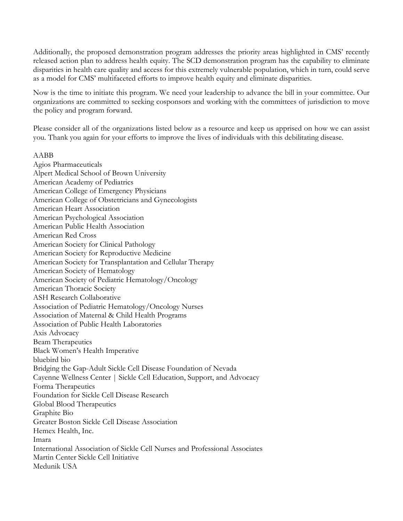Additionally, the proposed demonstration program addresses the priority areas highlighted in CMS' recently released action plan to address health equity. The SCD demonstration program has the capability to eliminate disparities in health care quality and access for this extremely vulnerable population, which in turn, could serve as a model for CMS' multifaceted efforts to improve health equity and eliminate disparities.

Now is the time to initiate this program. We need your leadership to advance the bill in your committee. Our organizations are committed to seeking cosponsors and working with the committees of jurisdiction to move the policy and program forward.

Please consider all of the organizations listed below as a resource and keep us apprised on how we can assist you. Thank you again for your efforts to improve the lives of individuals with this debilitating disease.

AABB

Agios Pharmaceuticals Alpert Medical School of Brown University American Academy of Pediatrics American College of Emergency Physicians American College of Obstetricians and Gynecologists American Heart Association American Psychological Association American Public Health Association American Red Cross American Society for Clinical Pathology American Society for Reproductive Medicine American Society for Transplantation and Cellular Therapy American Society of Hematology American Society of Pediatric Hematology/Oncology American Thoracic Society ASH Research Collaborative Association of Pediatric Hematology/Oncology Nurses Association of Maternal & Child Health Programs Association of Public Health Laboratories Axis Advocacy Beam Therapeutics Black Women's Health Imperative bluebird bio Bridging the Gap-Adult Sickle Cell Disease Foundation of Nevada Cayenne Wellness Center | Sickle Cell Education, Support, and Advocacy Forma Therapeutics Foundation for Sickle Cell Disease Research Global Blood Therapeutics Graphite Bio Greater Boston Sickle Cell Disease Association Hemex Health, Inc. Imara International Association of Sickle Cell Nurses and Professional Associates Martin Center Sickle Cell Initiative Medunik USA